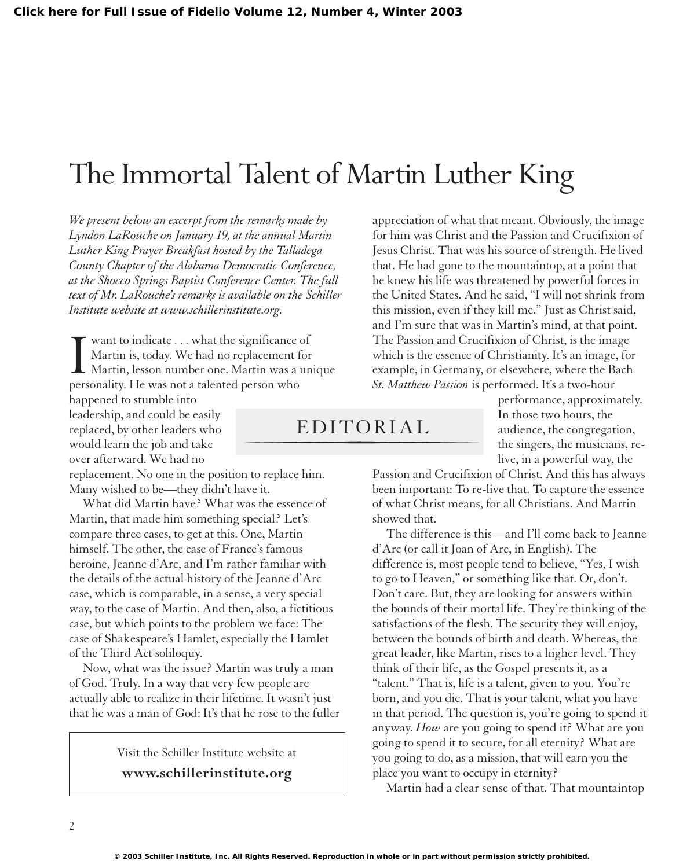## The Immortal Talent of Martin Luther King

*We present below an excerpt from the remarks made by Lyndon LaRouche on January 19, at the annual Martin Luther King Prayer Breakfast hosted by the Talladega County Chapter of the Alabama Democratic Conference, at the Shocco Springs Baptist Conference Center. The full text of Mr. LaRouche's remarks is available on the Schiller Institute website at www.schillerinstitute.org.*

I want to indicate ... what the significance<br>Martin is, today. We had no replacement if<br>Martin, lesson number one. Martin was a<br>personality. He was not a talented person who want to indicate . . . what the significance of Martin is, today. We had no replacement for Martin, lesson number one. Martin was a unique

happened to stumble into leadership, and could be easily replaced, by other leaders who would learn the job and take over afterward. We had no

replacement. No one in the position to replace him. Many wished to be—they didn't have it.

What did Martin have? What was the essence of Martin, that made him something special? Let's compare three cases, to get at this. One, Martin himself. The other, the case of France's famous heroine, Jeanne d'Arc, and I'm rather familiar with the details of the actual history of the Jeanne d'Arc case, which is comparable, in a sense, a very special way, to the case of Martin. And then, also, a fictitious case, but which points to the problem we face: The case of Shakespeare's Hamlet, especially the Hamlet of the Third Act soliloquy.

Now, what was the issue? Martin was truly a man of God. Truly. In a way that very few people are actually able to realize in their lifetime. It wasn't just that he was a man of God: It's that he rose to the fuller

> Visit the Schiller Institute website at **www.schillerinstitute.org**

appreciation of what that meant. Obviously, the image for him was Christ and the Passion and Crucifixion of Jesus Christ. That was his source of strength. He lived that. He had gone to the mountaintop, at a point that he knew his life was threatened by powerful forces in the United States. And he said, "I will not shrink from this mission, even if they kill me." Just as Christ said, and I'm sure that was in Martin's mind, at that point. The Passion and Crucifixion of Christ, is the image which is the essence of Christianity. It's an image, for example, in Germany, or elsewhere, where the Bach *St. Matthew Passion* is performed. It's a two-hour

### EDITORIAL

performance, approximately. In those two hours, the audience, the congregation, the singers, the musicians, relive, in a powerful way, the

Passion and Crucifixion of Christ. And this has always been important: To re-live that. To capture the essence of what Christ means, for all Christians. And Martin showed that.

The difference is this—and I'll come back to Jeanne d'Arc (or call it Joan of Arc, in English). The difference is, most people tend to believe, "Yes, I wish to go to Heaven," or something like that. Or, don't. Don't care. But, they are looking for answers within the bounds of their mortal life. They're thinking of the satisfactions of the flesh. The security they will enjoy, between the bounds of birth and death. Whereas, the great leader, like Martin, rises to a higher level. They think of their life, as the Gospel presents it, as a "talent." That is, life is a talent, given to you. You're born, and you die. That is your talent, what you have in that period. The question is, you're going to spend it anyway. *How* are you going to spend it? What are you going to spend it to secure, for all eternity? What are you going to do, as a mission, that will earn you the place you want to occupy in eternity?

Martin had a clear sense of that. That mountaintop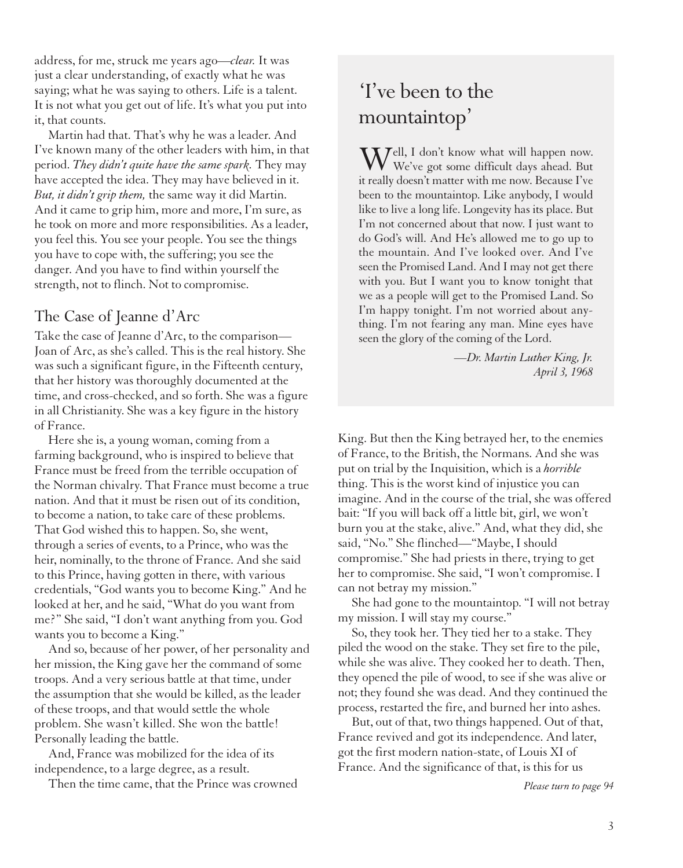address, for me, struck me years ago—*clear.* It was just a clear understanding, of exactly what he was saying; what he was saying to others. Life is a talent. It is not what you get out of life. It's what you put into it, that counts.

Martin had that. That's why he was a leader. And I've known many of the other leaders with him, in that period. *They didn't quite have the same spark.* They may have accepted the idea. They may have believed in it. *But, it didn't grip them,* the same way it did Martin. And it came to grip him, more and more, I'm sure, as he took on more and more responsibilities. As a leader, you feel this. You see your people. You see the things you have to cope with, the suffering; you see the danger. And you have to find within yourself the strength, not to flinch. Not to compromise.

### The Case of Jeanne d'Arc

Take the case of Jeanne d'Arc, to the comparison— Joan of Arc, as she's called. This is the real history. She was such a significant figure, in the Fifteenth century, that her history was thoroughly documented at the time, and cross-checked, and so forth. She was a figure in all Christianity. She was a key figure in the history of France.

Here she is, a young woman, coming from a farming background, who is inspired to believe that France must be freed from the terrible occupation of the Norman chivalry. That France must become a true nation. And that it must be risen out of its condition, to become a nation, to take care of these problems. That God wished this to happen. So, she went, through a series of events, to a Prince, who was the heir, nominally, to the throne of France. And she said to this Prince, having gotten in there, with various credentials, "God wants you to become King." And he looked at her, and he said, "What do you want from me?" She said, "I don't want anything from you. God wants you to become a King."

And so, because of her power, of her personality and her mission, the King gave her the command of some troops. And a very serious battle at that time, under the assumption that she would be killed, as the leader of these troops, and that would settle the whole problem. She wasn't killed. She won the battle! Personally leading the battle.

And, France was mobilized for the idea of its independence, to a large degree, as a result.

Then the time came, that the Prince was crowned

## 'I've been to the mountaintop'

We've got some difficult days ahead. But it really doesn't matter with me now. Because I've been to the mountaintop. Like anybody, I would like to live a long life. Longevity has its place. But I'm not concerned about that now. I just want to do God's will. And He's allowed me to go up to the mountain. And I've looked over. And I've seen the Promised Land. And I may not get there with you. But I want you to know tonight that we as a people will get to the Promised Land. So I'm happy tonight. I'm not worried about anything. I'm not fearing any man. Mine eyes have seen the glory of the coming of the Lord.

> *—Dr. Martin Luther King, Jr. April 3, 1968*

King. But then the King betrayed her, to the enemies of France, to the British, the Normans. And she was put on trial by the Inquisition, which is a *horrible* thing. This is the worst kind of injustice you can imagine. And in the course of the trial, she was offered bait: "If you will back off a little bit, girl, we won't burn you at the stake, alive." And, what they did, she said, "No." She flinched—"Maybe, I should compromise." She had priests in there, trying to get her to compromise. She said, "I won't compromise. I can not betray my mission."

She had gone to the mountaintop. "I will not betray my mission. I will stay my course."

So, they took her. They tied her to a stake. They piled the wood on the stake. They set fire to the pile, while she was alive. They cooked her to death. Then, they opened the pile of wood, to see if she was alive or not; they found she was dead. And they continued the process, restarted the fire, and burned her into ashes.

But, out of that, two things happened. Out of that, France revived and got its independence. And later, got the first modern nation-state, of Louis XI of France. And the significance of that, is this for us

*Please turn to page 94*